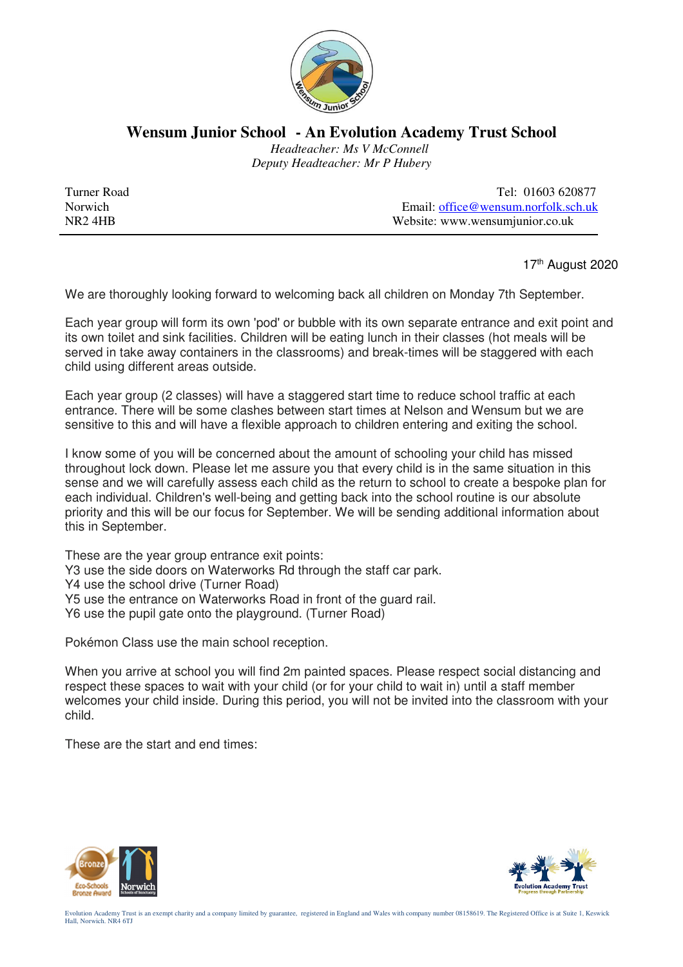

## **Wensum Junior School - An Evolution Academy Trust School**

 *Headteacher: Ms V McConnell Deputy Headteacher: Mr P Hubery* 

Turner Road Tel: 01603 620877 Norwich Email: <u>office@wensum.norfolk.sch.uk</u><br>NR2 4HB Website: www.wensumiunior.co.uk Website: www.wensumjunior.co.uk

17<sup>th</sup> August 2020

We are thoroughly looking forward to welcoming back all children on Monday 7th September.

Each year group will form its own 'pod' or bubble with its own separate entrance and exit point and its own toilet and sink facilities. Children will be eating lunch in their classes (hot meals will be served in take away containers in the classrooms) and break-times will be staggered with each child using different areas outside.

Each year group (2 classes) will have a staggered start time to reduce school traffic at each entrance. There will be some clashes between start times at Nelson and Wensum but we are sensitive to this and will have a flexible approach to children entering and exiting the school.

I know some of you will be concerned about the amount of schooling your child has missed throughout lock down. Please let me assure you that every child is in the same situation in this sense and we will carefully assess each child as the return to school to create a bespoke plan for each individual. Children's well-being and getting back into the school routine is our absolute priority and this will be our focus for September. We will be sending additional information about this in September.

These are the year group entrance exit points:

Y3 use the side doors on Waterworks Rd through the staff car park.

Y4 use the school drive (Turner Road)

- Y5 use the entrance on Waterworks Road in front of the guard rail.
- Y6 use the pupil gate onto the playground. (Turner Road)

Pokémon Class use the main school reception.

When you arrive at school you will find 2m painted spaces. Please respect social distancing and respect these spaces to wait with your child (or for your child to wait in) until a staff member welcomes your child inside. During this period, you will not be invited into the classroom with your child.

These are the start and end times: